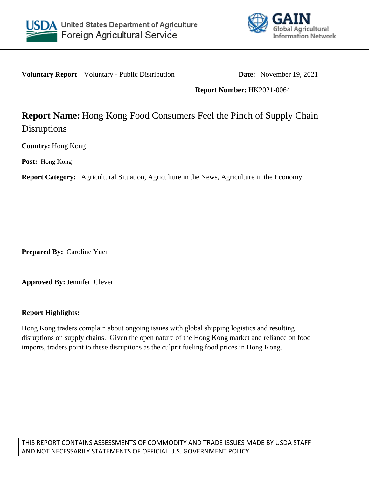



**Voluntary Report** – Voluntary - Public Distribution **Date:** November 19, 2021

## **Report Number:** HK2021-0064

# **Report Name:** Hong Kong Food Consumers Feel the Pinch of Supply Chain Disruptions

**Country:** Hong Kong

**Post:** Hong Kong

**Report Category:** Agricultural Situation, Agriculture in the News, Agriculture in the Economy

**Prepared By:** Caroline Yuen

**Approved By:** Jennifer Clever

## **Report Highlights:**

Hong Kong traders complain about ongoing issues with global shipping logistics and resulting disruptions on supply chains. Given the open nature of the Hong Kong market and reliance on food imports, traders point to these disruptions as the culprit fueling food prices in Hong Kong.

THIS REPORT CONTAINS ASSESSMENTS OF COMMODITY AND TRADE ISSUES MADE BY USDA STAFF AND NOT NECESSARILY STATEMENTS OF OFFICIAL U.S. GOVERNMENT POLICY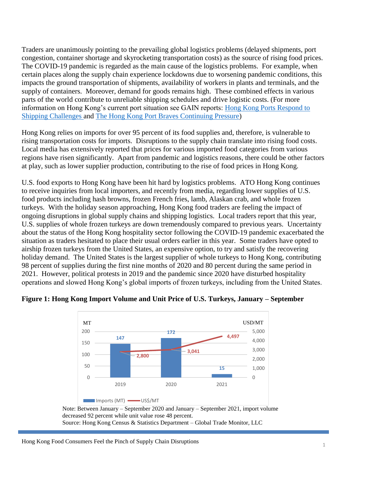Traders are unanimously pointing to the prevailing global logistics problems (delayed shipments, port congestion, container shortage and skyrocketing transportation costs) as the source of rising food prices. The COVID-19 pandemic is regarded as the main cause of the logistics problems. For example, when certain places along the supply chain experience lockdowns due to worsening pandemic conditions, this impacts the ground transportation of shipments, availability of workers in plants and terminals, and the supply of containers. Moreover, demand for goods remains high. These combined effects in various parts of the world contribute to unreliable shipping schedules and drive logistic costs. (For more information on Hong Kong's current port situation see GAIN reports: [Hong Kong Ports Respond to](https://www.fas.usda.gov/data/hong-kong-hong-kong-ports-respond-shipping-challenges)  [Shipping Challenges a](https://www.fas.usda.gov/data/hong-kong-hong-kong-ports-respond-shipping-challenges)nd [The Hong Kong Port Braves Continuing Pressure\)](https://www.fas.usda.gov/data)

Hong Kong relies on imports for over 95 percent of its food supplies and, therefore, is vulnerable to rising transportation costs for imports. Disruptions to the supply chain translate into rising food costs. Local media has extensively reported that prices for various imported food categories from various regions have risen significantly. Apart from pandemic and logistics reasons, there could be other factors at play, such as lower supplier production, contributing to the rise of food prices in Hong Kong.

U.S. food exports to Hong Kong have been hit hard by logistics problems. ATO Hong Kong continues to receive inquiries from local importers, and recently from media, regarding lower supplies of U.S. food products including hash browns, frozen French fries, lamb, Alaskan crab, and whole frozen turkeys. With the holiday season approaching, Hong Kong food traders are feeling the impact of ongoing disruptions in global supply chains and shipping logistics. Local traders report that this year, U.S. supplies of whole frozen turkeys are down tremendously compared to previous years. Uncertainty about the status of the Hong Kong hospitality sector following the COVID-19 pandemic exacerbated the situation as traders hesitated to place their usual orders earlier in this year. Some traders have opted to airship frozen turkeys from the United States, an expensive option, to try and satisfy the recovering holiday demand. The United States is the largest supplier of whole turkeys to Hong Kong, contributing 98 percent of supplies during the first nine months of 2020 and 80 percent during the same period in 2021. However, political protests in 2019 and the pandemic since 2020 have disturbed hospitality operations and slowed Hong Kong's global imports of frozen turkeys, including from the United States.





Note: Between January – September 2020 and January – September 2021, import volume decreased 92 percent while unit value rose 48 percent. Source: Hong Kong Census & Statistics Department – Global Trade Monitor, LLC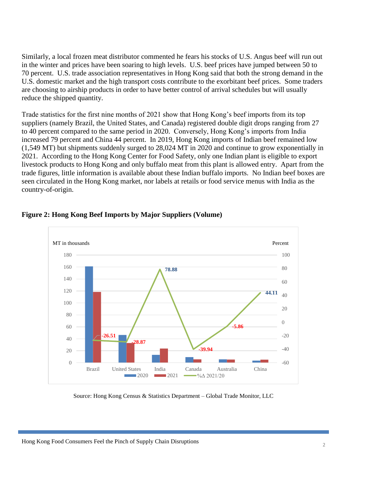Similarly, a local frozen meat distributor commented he fears his stocks of U.S. Angus beef will run out in the winter and prices have been soaring to high levels. U.S. beef prices have jumped between 50 to 70 percent. U.S. trade association representatives in Hong Kong said that both the strong demand in the U.S. domestic market and the high transport costs contribute to the exorbitant beef prices. Some traders are choosing to airship products in order to have better control of arrival schedules but will usually reduce the shipped quantity.

Trade statistics for the first nine months of 2021 show that Hong Kong's beef imports from its top suppliers (namely Brazil, the United States, and Canada) registered double digit drops ranging from 27 to 40 percent compared to the same period in 2020. Conversely, Hong Kong's imports from India increased 79 percent and China 44 percent. In 2019, Hong Kong imports of Indian beef remained low (1,549 MT) but shipments suddenly surged to 28,024 MT in 2020 and continue to grow exponentially in 2021. According to the Hong Kong Center for Food Safety, only one Indian plant is eligible to export livestock products to Hong Kong and only buffalo meat from this plant is allowed entry. Apart from the trade figures, little information is available about these Indian buffalo imports. No Indian beef boxes are seen circulated in the Hong Kong market, nor labels at retails or food service menus with India as the country-of-origin.



### **Figure 2: Hong Kong Beef Imports by Major Suppliers (Volume)**

Source: Hong Kong Census & Statistics Department – Global Trade Monitor, LLC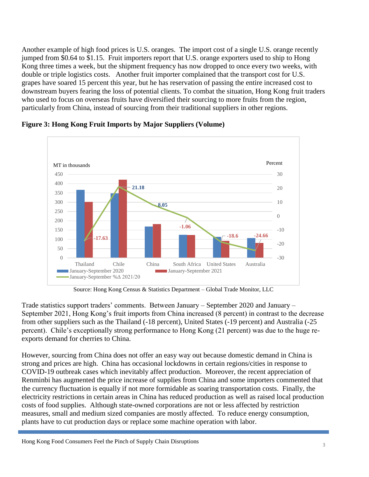Another example of high food prices is U.S. oranges. The import cost of a single U.S. orange recently jumped from \$0.64 to \$1.15. Fruit importers report that U.S. orange exporters used to ship to Hong Kong three times a week, but the shipment frequency has now dropped to once every two weeks, with double or triple logistics costs. Another fruit importer complained that the transport cost for U.S. grapes have soared 15 percent this year, but he has reservation of passing the entire increased cost to downstream buyers fearing the loss of potential clients. To combat the situation, Hong Kong fruit traders who used to focus on overseas fruits have diversified their sourcing to more fruits from the region, particularly from China, instead of sourcing from their traditional suppliers in other regions.



**Figure 3: Hong Kong Fruit Imports by Major Suppliers (Volume)** 

Source: Hong Kong Census & Statistics Department – Global Trade Monitor, LLC

Trade statistics support traders' comments. Between January – September 2020 and January – September 2021, Hong Kong's fruit imports from China increased (8 percent) in contrast to the decrease from other suppliers such as the Thailand (-18 percent), United States (-19 percent) and Australia (-25 percent). Chile's exceptionally strong performance to Hong Kong (21 percent) was due to the huge reexports demand for cherries to China.

However, sourcing from China does not offer an easy way out because domestic demand in China is strong and prices are high. China has occasional lockdowns in certain regions/cities in response to COVID-19 outbreak cases which inevitably affect production. Moreover, the recent appreciation of Renminbi has augmented the price increase of supplies from China and some importers commented that the currency fluctuation is equally if not more formidable as soaring transportation costs. Finally, the electricity restrictions in certain areas in China has reduced production as well as raised local production costs of food supplies. Although state-owned corporations are not or less affected by restriction measures, small and medium sized companies are mostly affected. To reduce energy consumption, plants have to cut production days or replace some machine operation with labor.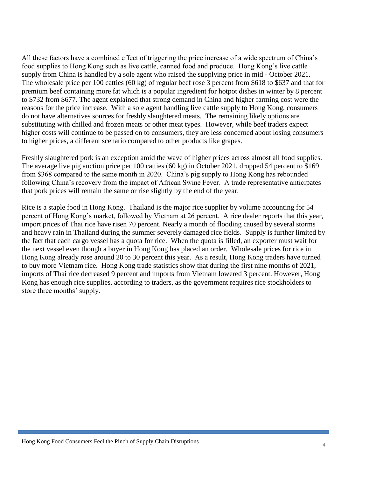All these factors have a combined effect of triggering the price increase of a wide spectrum of China's food supplies to Hong Kong such as live cattle, canned food and produce. Hong Kong's live cattle supply from China is handled by a sole agent who raised the supplying price in mid - October 2021. The wholesale price per 100 catties (60 kg) of regular beef rose 3 percent from \$618 to \$637 and that for premium beef containing more fat which is a popular ingredient for hotpot dishes in winter by 8 percent to \$732 from \$677. The agent explained that strong demand in China and higher farming cost were the reasons for the price increase. With a sole agent handling live cattle supply to Hong Kong, consumers do not have alternatives sources for freshly slaughtered meats. The remaining likely options are substituting with chilled and frozen meats or other meat types. However, while beef traders expect higher costs will continue to be passed on to consumers, they are less concerned about losing consumers to higher prices, a different scenario compared to other products like grapes.

Freshly slaughtered pork is an exception amid the wave of higher prices across almost all food supplies. The average live pig auction price per 100 catties (60 kg) in October 2021, dropped 54 percent to \$169 from \$368 compared to the same month in 2020. China's pig supply to Hong Kong has rebounded following China's recovery from the impact of African Swine Fever. A trade representative anticipates that pork prices will remain the same or rise slightly by the end of the year.

Rice is a staple food in Hong Kong. Thailand is the major rice supplier by volume accounting for 54 percent of Hong Kong's market, followed by Vietnam at 26 percent. A rice dealer reports that this year, import prices of Thai rice have risen 70 percent. Nearly a month of flooding caused by several storms and heavy rain in Thailand during the summer severely damaged rice fields. Supply is further limited by the fact that each cargo vessel has a quota for rice. When the quota is filled, an exporter must wait for the next vessel even though a buyer in Hong Kong has placed an order. Wholesale prices for rice in Hong Kong already rose around 20 to 30 percent this year. As a result, Hong Kong traders have turned to buy more Vietnam rice. Hong Kong trade statistics show that during the first nine months of 2021, imports of Thai rice decreased 9 percent and imports from Vietnam lowered 3 percent. However, Hong Kong has enough rice supplies, according to traders, as the government requires rice stockholders to store three months' supply.